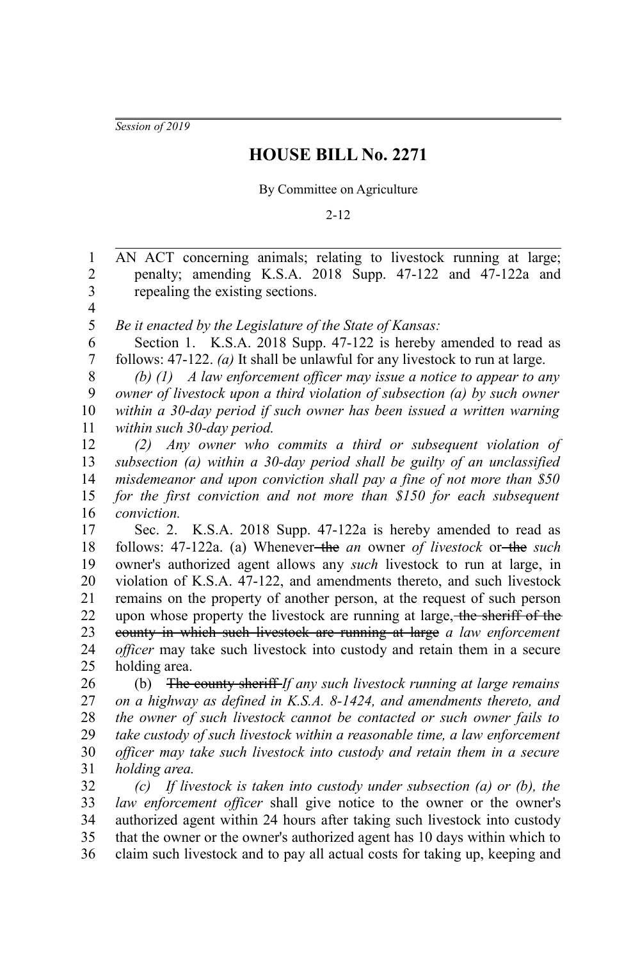*Session of 2019*

## **HOUSE BILL No. 2271**

By Committee on Agriculture

2-12

AN ACT concerning animals; relating to livestock running at large; penalty; amending K.S.A. 2018 Supp. 47-122 and 47-122a and repealing the existing sections. *Be it enacted by the Legislature of the State of Kansas:* Section 1. K.S.A. 2018 Supp. 47-122 is hereby amended to read as follows: 47-122. *(a)* It shall be unlawful for any livestock to run at large. *(b) (1) A law enforcement officer may issue a notice to appear to any owner of livestock upon a third violation of subsection (a) by such owner within a 30-day period if such owner has been issued a written warning within such 30-day period. (2) Any owner who commits a third or subsequent violation of subsection (a) within a 30-day period shall be guilty of an unclassified misdemeanor and upon conviction shall pay a fine of not more than \$50 for the first conviction and not more than \$150 for each subsequent conviction.* Sec. 2. K.S.A. 2018 Supp. 47-122a is hereby amended to read as follows: 47-122a. (a) Whenever the *an* owner *of livestock* or the *such* owner's authorized agent allows any *such* livestock to run at large, in violation of K.S.A. 47-122, and amendments thereto, and such livestock remains on the property of another person, at the request of such person upon whose property the livestock are running at large, the sheriff of the county in which such livestock are running at large *a law enforcement officer* may take such livestock into custody and retain them in a secure holding area. (b) The county sheriff *If any such livestock running at large remains on a highway as defined in K.S.A. 8-1424, and amendments thereto, and the owner of such livestock cannot be contacted or such owner fails to take custody of such livestock within a reasonable time, a law enforcement officer may take such livestock into custody and retain them in a secure holding area. (c) If livestock is taken into custody under subsection (a) or (b), the law enforcement officer* shall give notice to the owner or the owner's authorized agent within 24 hours after taking such livestock into custody that the owner or the owner's authorized agent has 10 days within which to claim such livestock and to pay all actual costs for taking up, keeping and 1 2 3 4 5 6 7 8 9 10 11 12 13 14 15 16 17 18 19 20 21 22 23 24 25 26 27 28 29 30 31 32 33 34 35 36